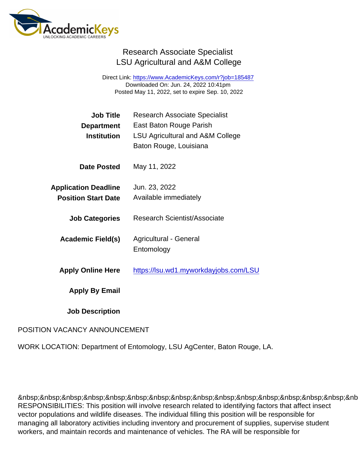## Research Associate Specialist LSU Agricultural and A&M College

Direct Link: <https://www.AcademicKeys.com/r?job=185487> Downloaded On: Jun. 24, 2022 10:41pm Posted May 11, 2022, set to expire Sep. 10, 2022

| Job Title                   | <b>Research Associate Specialist</b>        |
|-----------------------------|---------------------------------------------|
| Department                  | East Baton Rouge Parish                     |
| <b>Institution</b>          | <b>LSU Agricultural and A&amp;M College</b> |
|                             | Baton Rouge, Louisiana                      |
| Date Posted                 | May 11, 2022                                |
| <b>Application Deadline</b> | Jun. 23, 2022                               |
| <b>Position Start Date</b>  | Available immediately                       |
|                             |                                             |
| <b>Job Categories</b>       | <b>Research Scientist/Associate</b>         |
|                             | <b>Agricultural - General</b>               |
| Academic Field(s)           | Entomology                                  |
|                             |                                             |
| <b>Apply Online Here</b>    | https://lsu.wd1.myworkdayjobs.com/LSU       |
| Apply By Email              |                                             |
| <b>Job Description</b>      |                                             |

## POSITION VACANCY ANNOUNCEMENT

WORK LOCATION: Department of Entomology, LSU AgCenter, Baton Rouge, LA.

 &nb RESPONSIBILITIES: This position will involve research related to identifying factors that affect insect vector populations and wildlife diseases. The individual filling this position will be responsible for managing all laboratory activities including inventory and procurement of supplies, supervise student workers, and maintain records and maintenance of vehicles. The RA will be responsible for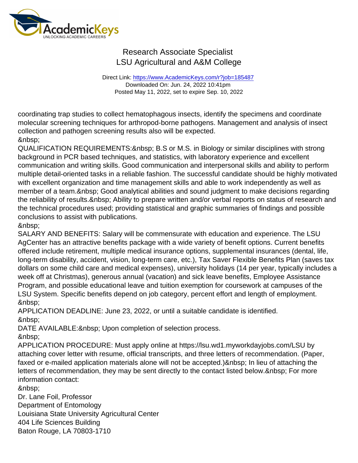## Research Associate Specialist LSU Agricultural and A&M College

Direct Link: <https://www.AcademicKeys.com/r?job=185487> Downloaded On: Jun. 24, 2022 10:41pm Posted May 11, 2022, set to expire Sep. 10, 2022

coordinating trap studies to collect hematophagous insects, identify the specimens and coordinate molecular screening techniques for arthropod-borne pathogens. Management and analysis of insect collection and pathogen screening results also will be expected. 

QUALIFICATION REQUIREMENTS: & nbsp; B.S or M.S. in Biology or similar disciplines with strong background in PCR based techniques, and statistics, with laboratory experience and excellent communication and writing skills. Good communication and interpersonal skills and ability to perform multiple detail-oriented tasks in a reliable fashion. The successful candidate should be highly motivated with excellent organization and time management skills and able to work independently as well as member of a team. & nbsp; Good analytical abilities and sound judgment to make decisions regarding the reliability of results. Ability to prepare written and/or verbal reports on status of research and the technical procedures used; providing statistical and graphic summaries of findings and possible conclusions to assist with publications.

&nbsp:

SALARY AND BENEFITS: Salary will be commensurate with education and experience. The LSU AgCenter has an attractive benefits package with a wide variety of benefit options. Current benefits offered include retirement, multiple medical insurance options, supplemental insurances (dental, life, long-term disability, accident, vision, long-term care, etc.), Tax Saver Flexible Benefits Plan (saves tax dollars on some child care and medical expenses), university holidays (14 per year, typically includes a week off at Christmas), generous annual (vacation) and sick leave benefits, Employee Assistance Program, and possible educational leave and tuition exemption for coursework at campuses of the LSU System. Specific benefits depend on job category, percent effort and length of employment. &nbsp:

APPLICATION DEADLINE: June 23, 2022, or until a suitable candidate is identified. 

DATE AVAILABLE: & nbsp; Upon completion of selection process.

APPLICATION PROCEDURE: Must apply online at https://lsu.wd1.myworkdayjobs.com/LSU by attaching cover letter with resume, official transcripts, and three letters of recommendation. (Paper, faxed or e-mailed application materials alone will not be accepted.) & nbsp; In lieu of attaching the letters of recommendation, they may be sent directly to the contact listed below. & nbsp; For more information contact:

&nbsp:

Dr. Lane Foil, Professor

Department of Entomology

Louisiana State University Agricultural Center

404 Life Sciences Building

Baton Rouge, LA 70803-1710